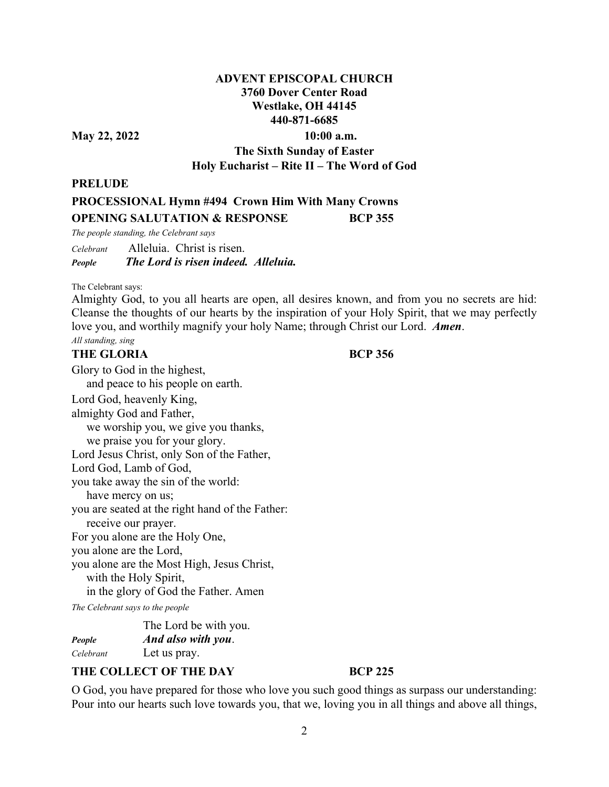# **ADVENT EPISCOPAL CHURCH 3760 Dover Center Road Westlake, OH 44145 440-871-6685**

**May 22, 2022 10:00 a.m.** 

# **The Sixth Sunday of Easter Holy Eucharist – Rite II – The Word of God**

#### **PRELUDE**

**PROCESSIONAL Hymn #494 Crown Him With Many Crowns** 

**OPENING SALUTATION & RESPONSE BCP 355** 

*The people standing, the Celebrant says* 

*Celebrant* Alleluia. Christ is risen. *People The Lord is risen indeed. Alleluia.* 

The Celebrant says:

Almighty God, to you all hearts are open, all desires known, and from you no secrets are hid: Cleanse the thoughts of our hearts by the inspiration of your Holy Spirit, that we may perfectly love you, and worthily magnify your holy Name; through Christ our Lord. *Amen*. *All standing, sing*

# **THE GLORIA BCP 356**

Glory to God in the highest, and peace to his people on earth. Lord God, heavenly King, almighty God and Father, we worship you, we give you thanks, we praise you for your glory. Lord Jesus Christ, only Son of the Father, Lord God, Lamb of God, you take away the sin of the world: have mercy on us; you are seated at the right hand of the Father: receive our prayer. For you alone are the Holy One, you alone are the Lord, you alone are the Most High, Jesus Christ, with the Holy Spirit, in the glory of God the Father. Amen *The Celebrant says to the people* 

 The Lord be with you. *People And also with you*.

*Celebrant* Let us pray.

# THE COLLECT OF THE DAY **BCP 225**

O God, you have prepared for those who love you such good things as surpass our understanding: Pour into our hearts such love towards you, that we, loving you in all things and above all things,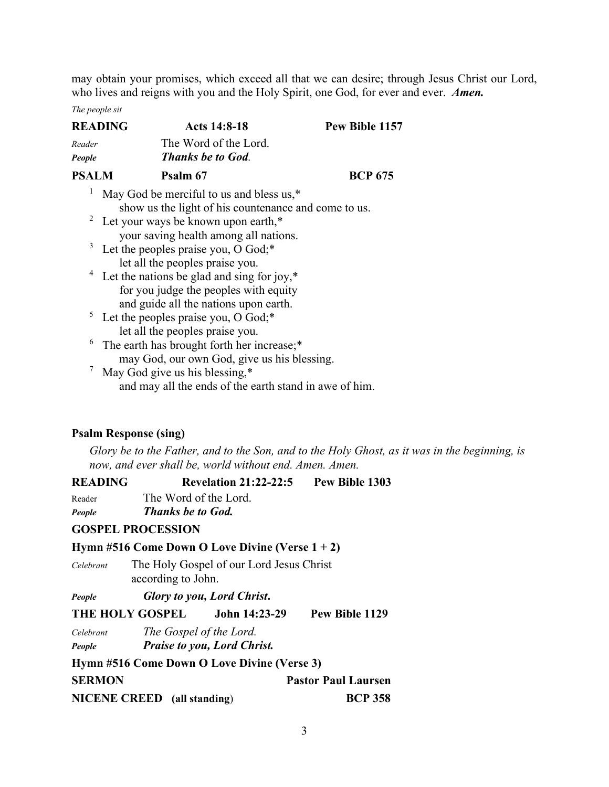may obtain your promises, which exceed all that we can desire; through Jesus Christ our Lord, who lives and reigns with you and the Holy Spirit, one God, for ever and ever. *Amen.*

*The people sit* 

| <b>READING</b> | <b>Acts 14:8-18</b>                                     | Pew Bible 1157 |  |
|----------------|---------------------------------------------------------|----------------|--|
| Reader         | The Word of the Lord.                                   |                |  |
| People         | <b>Thanks be to God.</b>                                |                |  |
| <b>PSALM</b>   | Psalm 67                                                | <b>BCP 675</b> |  |
|                | May God be merciful to us and bless us,*                |                |  |
|                | show us the light of his countenance and come to us.    |                |  |
|                | <sup>2</sup> Let your ways be known upon earth, $*$     |                |  |
|                | your saving health among all nations.                   |                |  |
|                | <sup>3</sup> Let the peoples praise you, O God;*        |                |  |
|                | let all the peoples praise you.                         |                |  |
|                | <sup>4</sup> Let the nations be glad and sing for joy.* |                |  |

- Let the nations be glad and sing for joy, $\dot{\theta}$  for you judge the peoples with equity and guide all the nations upon earth.
- $5$  Let the peoples praise you, O God;\* let all the peoples praise you.
- <sup>6</sup> The earth has brought forth her increase;\* may God, our own God, give us his blessing.
- $7$  May God give us his blessing,\* and may all the ends of the earth stand in awe of him.

# **Psalm Response (sing)**

*Glory be to the Father, and to the Son, and to the Holy Ghost, as it was in the beginning, is now, and ever shall be, world without end. Amen. Amen.* 

| <b>READING</b><br>Reader<br>People | The Word of the Lord.<br><b>Thanks be to God.</b><br><b>GOSPEL PROCESSION</b> | <b>Revelation 21:22-22:5</b>                       | Pew Bible 1303             |
|------------------------------------|-------------------------------------------------------------------------------|----------------------------------------------------|----------------------------|
|                                    |                                                                               | Hymn #516 Come Down O Love Divine (Verse $1 + 2$ ) |                            |
| Celebrant                          | The Holy Gospel of our Lord Jesus Christ<br>according to John.                |                                                    |                            |
| People                             |                                                                               | <b>Glory to you, Lord Christ.</b>                  |                            |
|                                    |                                                                               | THE HOLY GOSPEL John 14:23-29                      | Pew Bible 1129             |
| Celebrant<br>People                | The Gospel of the Lord.                                                       | <b>Praise to you, Lord Christ.</b>                 |                            |
|                                    |                                                                               | Hymn #516 Come Down O Love Divine (Verse 3)        |                            |
| <b>SERMON</b>                      |                                                                               |                                                    | <b>Pastor Paul Laursen</b> |
|                                    | <b>NICENE CREED</b> (all standing)                                            |                                                    | <b>BCP 358</b>             |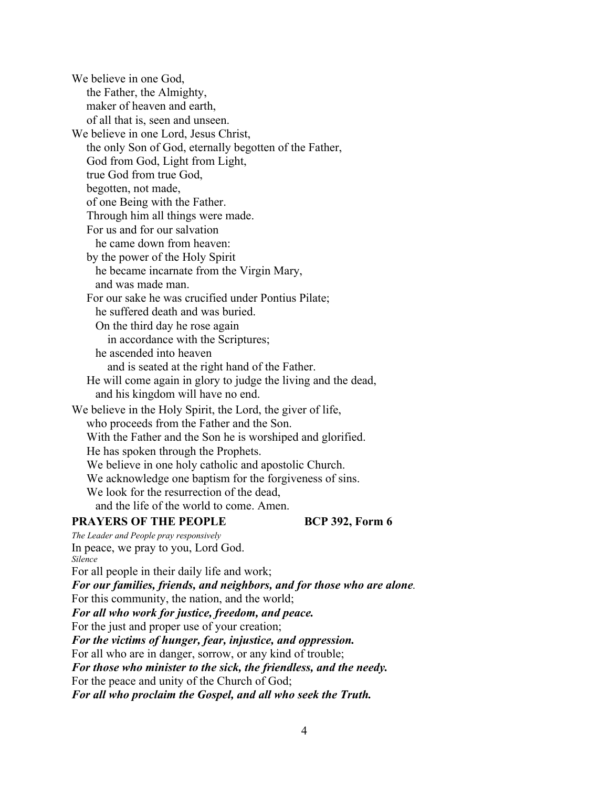We believe in one God, the Father, the Almighty, maker of heaven and earth, of all that is, seen and unseen. We believe in one Lord, Jesus Christ, the only Son of God, eternally begotten of the Father, God from God, Light from Light, true God from true God, begotten, not made, of one Being with the Father. Through him all things were made. For us and for our salvation he came down from heaven: by the power of the Holy Spirit he became incarnate from the Virgin Mary, and was made man. For our sake he was crucified under Pontius Pilate; he suffered death and was buried. On the third day he rose again in accordance with the Scriptures; he ascended into heaven and is seated at the right hand of the Father. He will come again in glory to judge the living and the dead, and his kingdom will have no end. We believe in the Holy Spirit, the Lord, the giver of life, who proceeds from the Father and the Son. With the Father and the Son he is worshiped and glorified. He has spoken through the Prophets. We believe in one holy catholic and apostolic Church. We acknowledge one baptism for the forgiveness of sins. We look for the resurrection of the dead, and the life of the world to come. Amen. **PRAYERS OF THE PEOPLE BCP 392, Form 6** *The Leader and People pray responsively* In peace, we pray to you, Lord God. *Silence*  For all people in their daily life and work; *For our families, friends, and neighbors, and for those who are alone.*  For this community, the nation, and the world; *For all who work for justice, freedom, and peace.* For the just and proper use of your creation; *For the victims of hunger, fear, injustice, and oppression.* For all who are in danger, sorrow, or any kind of trouble; *For those who minister to the sick, the friendless, and the needy.* For the peace and unity of the Church of God; *For all who proclaim the Gospel, and all who seek the Truth.*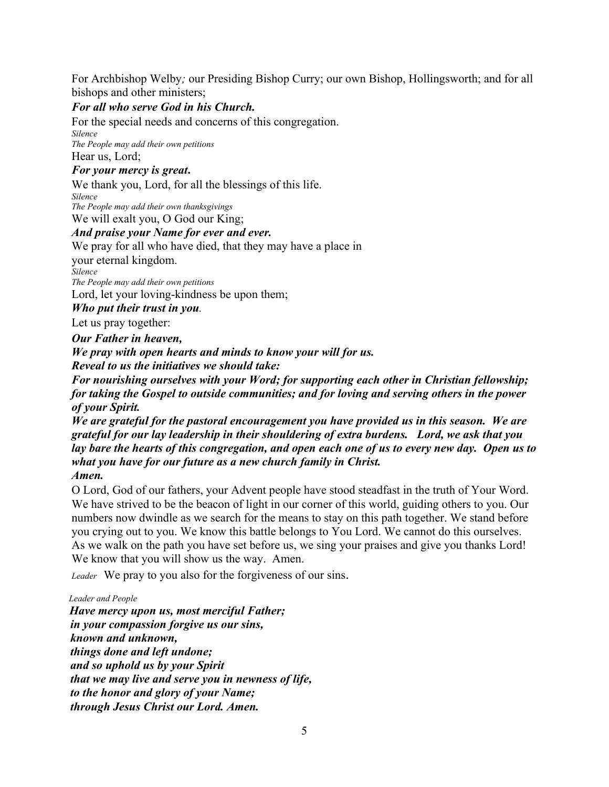For Archbishop Welby*;* our Presiding Bishop Curry; our own Bishop, Hollingsworth; and for all bishops and other ministers;

# *For all who serve God in his Church.*

For the special needs and concerns of this congregation.

*Silence The People may add their own petitions*

Hear us, Lord;

# *For your mercy is great***.**

We thank you, Lord, for all the blessings of this life.

*Silence*

*The People may add their own thanksgivings*

We will exalt you, O God our King;

### *And praise your Name for ever and ever.*

We pray for all who have died, that they may have a place in your eternal kingdom.

*Silence*

*The People may add their own petitions*

Lord, let your loving-kindness be upon them;

*Who put their trust in you.* 

Let us pray together:

*Our Father in heaven,* 

*We pray with open hearts and minds to know your will for us.* 

*Reveal to us the initiatives we should take:* 

*For nourishing ourselves with your Word; for supporting each other in Christian fellowship; for taking the Gospel to outside communities; and for loving and serving others in the power of your Spirit.* 

*We are grateful for the pastoral encouragement you have provided us in this season. We are grateful for our lay leadership in their shouldering of extra burdens. Lord, we ask that you lay bare the hearts of this congregation, and open each one of us to every new day. Open us to what you have for our future as a new church family in Christ. Amen.* 

O Lord, God of our fathers, your Advent people have stood steadfast in the truth of Your Word. We have strived to be the beacon of light in our corner of this world, guiding others to you. Our numbers now dwindle as we search for the means to stay on this path together. We stand before you crying out to you. We know this battle belongs to You Lord. We cannot do this ourselves. As we walk on the path you have set before us, we sing your praises and give you thanks Lord! We know that you will show us the way. Amen.

*Leader* We pray to you also for the forgiveness of our sins.

 *Leader and People*

 *Have mercy upon us, most merciful Father; in your compassion forgive us our sins, known and unknown, things done and left undone; and so uphold us by your Spirit that we may live and serve you in newness of life, to the honor and glory of your Name; through Jesus Christ our Lord. Amen.*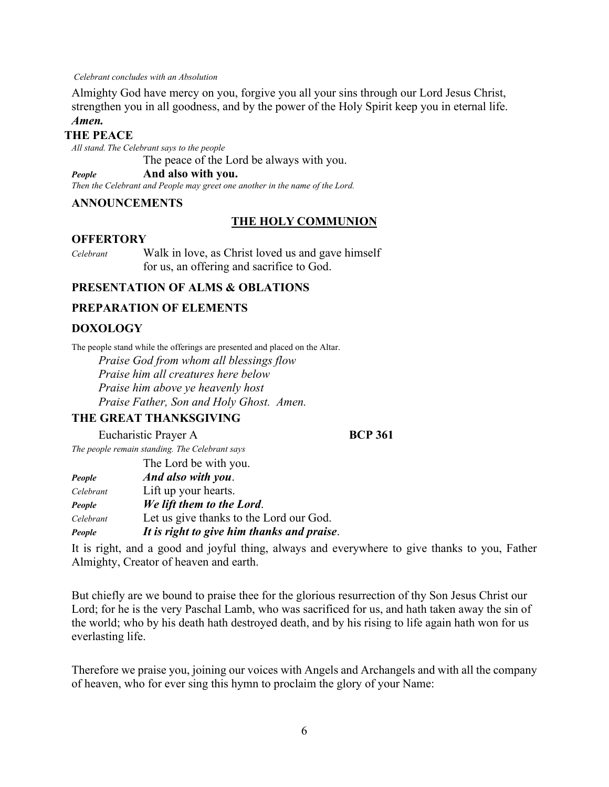#### *Celebrant concludes with an Absolution*

Almighty God have mercy on you, forgive you all your sins through our Lord Jesus Christ, strengthen you in all goodness, and by the power of the Holy Spirit keep you in eternal life.

# *Amen.*

## **THE PEACE**

*All stand. The Celebrant says to the people*

The peace of the Lord be always with you.

### *People* **And also with you.**

*Then the Celebrant and People may greet one another in the name of the Lord.*

#### **ANNOUNCEMENTS**

# **THE HOLY COMMUNION**

### **OFFERTORY**

*Celebrant*Walk in love, as Christ loved us and gave himself for us, an offering and sacrifice to God.

# **PRESENTATION OF ALMS & OBLATIONS**

# **PREPARATION OF ELEMENTS**

# **DOXOLOGY**

The people stand while the offerings are presented and placed on the Altar.

 *Praise God from whom all blessings flow Praise him all creatures here below Praise him above ye heavenly host Praise Father, Son and Holy Ghost. Amen.* 

# **THE GREAT THANKSGIVING**

Eucharistic Prayer A **BCP 361** 

*The people remain standing. The Celebrant says* 

|           | The Lord be with you.                      |
|-----------|--------------------------------------------|
| People    | And also with you.                         |
| Celebrant | Lift up your hearts.                       |
| People    | We lift them to the Lord.                  |
| Celebrant | Let us give thanks to the Lord our God.    |
| People    | It is right to give him thanks and praise. |

It is right, and a good and joyful thing, always and everywhere to give thanks to you, Father Almighty, Creator of heaven and earth.

But chiefly are we bound to praise thee for the glorious resurrection of thy Son Jesus Christ our Lord; for he is the very Paschal Lamb, who was sacrificed for us, and hath taken away the sin of the world; who by his death hath destroyed death, and by his rising to life again hath won for us everlasting life.

Therefore we praise you, joining our voices with Angels and Archangels and with all the company of heaven, who for ever sing this hymn to proclaim the glory of your Name: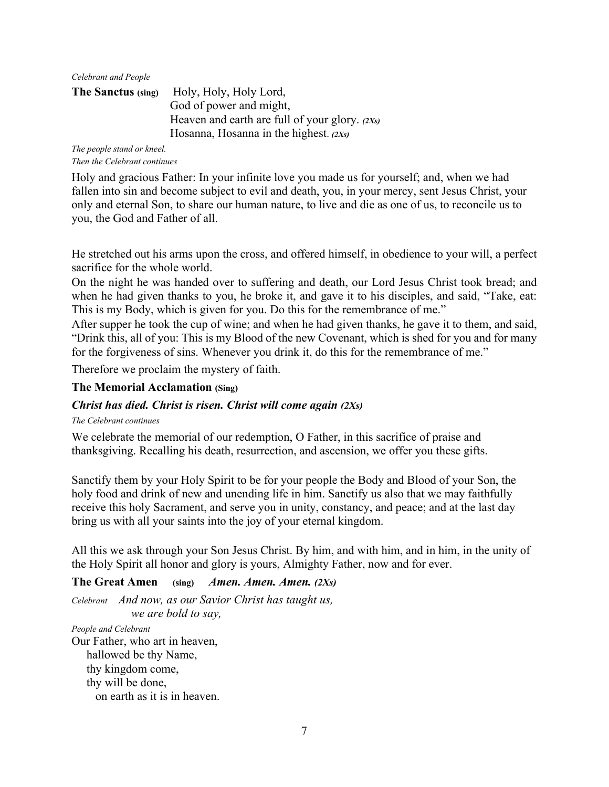*Celebrant and People* 

| The Sanctus (sing) | Holy, Holy, Holy Lord,                           |
|--------------------|--------------------------------------------------|
|                    | God of power and might,                          |
|                    | Heaven and earth are full of your glory. $(2Xs)$ |
|                    | Hosanna, Hosanna in the highest. $(2Xs)$         |

*The people stand or kneel. Then the Celebrant continues* 

Holy and gracious Father: In your infinite love you made us for yourself; and, when we had fallen into sin and become subject to evil and death, you, in your mercy, sent Jesus Christ, your only and eternal Son, to share our human nature, to live and die as one of us, to reconcile us to you, the God and Father of all.

He stretched out his arms upon the cross, and offered himself, in obedience to your will, a perfect sacrifice for the whole world.

On the night he was handed over to suffering and death, our Lord Jesus Christ took bread; and when he had given thanks to you, he broke it, and gave it to his disciples, and said, "Take, eat: This is my Body, which is given for you. Do this for the remembrance of me."

After supper he took the cup of wine; and when he had given thanks, he gave it to them, and said, "Drink this, all of you: This is my Blood of the new Covenant, which is shed for you and for many for the forgiveness of sins. Whenever you drink it, do this for the remembrance of me."

Therefore we proclaim the mystery of faith.

# **The Memorial Acclamation (Sing)**

# *Christ has died. Christ is risen. Christ will come again (2Xs)*

#### *The Celebrant continues*

We celebrate the memorial of our redemption, O Father, in this sacrifice of praise and thanksgiving. Recalling his death, resurrection, and ascension, we offer you these gifts.

Sanctify them by your Holy Spirit to be for your people the Body and Blood of your Son, the holy food and drink of new and unending life in him. Sanctify us also that we may faithfully receive this holy Sacrament, and serve you in unity, constancy, and peace; and at the last day bring us with all your saints into the joy of your eternal kingdom.

All this we ask through your Son Jesus Christ. By him, and with him, and in him, in the unity of the Holy Spirit all honor and glory is yours, Almighty Father, now and for ever.

# **The Great Amen (sing)** *Amen. Amen. Amen. (2Xs)*

*Celebrant And now, as our Savior Christ has taught us, we are bold to say,* 

*People and Celebrant*  Our Father, who art in heaven, hallowed be thy Name, thy kingdom come, thy will be done, on earth as it is in heaven.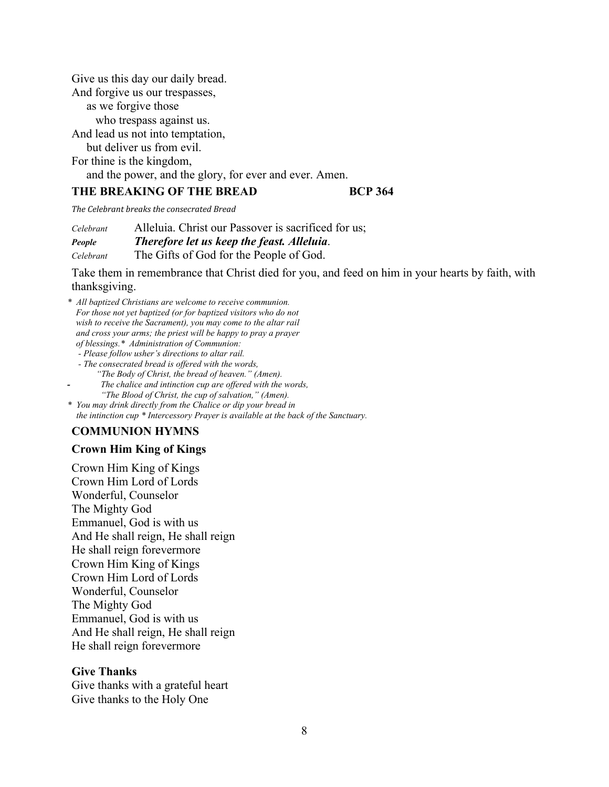Give us this day our daily bread. And forgive us our trespasses, as we forgive those who trespass against us. And lead us not into temptation, but deliver us from evil. For thine is the kingdom, and the power, and the glory, for ever and ever. Amen.

#### **THE BREAKING OF THE BREAD BCP 364**

*The Celebrant breaks the consecrated Bread*

*Celebrant* Alleluia. Christ our Passover is sacrificed for us; *People Therefore let us keep the feast. Alleluia*. *Celebrant* The Gifts of God for the People of God.

Take them in remembrance that Christ died for you, and feed on him in your hearts by faith, with thanksgiving.

*\* All baptized Christians are welcome to receive communion. For those not yet baptized (or for baptized visitors who do not wish to receive the Sacrament), you may come to the altar rail and cross your arms; the priest will be happy to pray a prayer of blessings.\* Administration of Communion: - Please follow usher's directions to altar rail.* 

- *The consecrated bread is offered with the words, "The Body of Christ, the bread of heaven." (Amen). - The chalice and intinction cup are offered with the words,* 
	- *"The Blood of Christ, the cup of salvation," (Amen).*

*\* You may drink directly from the Chalice or dip your bread in the intinction cup \* Intercessory Prayer is available at the back of the Sanctuary.* 

# **COMMUNION HYMNS**

#### **Crown Him King of Kings**

Crown Him King of Kings Crown Him Lord of Lords Wonderful, Counselor The Mighty God Emmanuel, God is with us And He shall reign, He shall reign He shall reign forevermore Crown Him King of Kings Crown Him Lord of Lords Wonderful, Counselor The Mighty God Emmanuel, God is with us And He shall reign, He shall reign He shall reign forevermore

#### **Give Thanks**

Give thanks with a grateful heart Give thanks to the Holy One